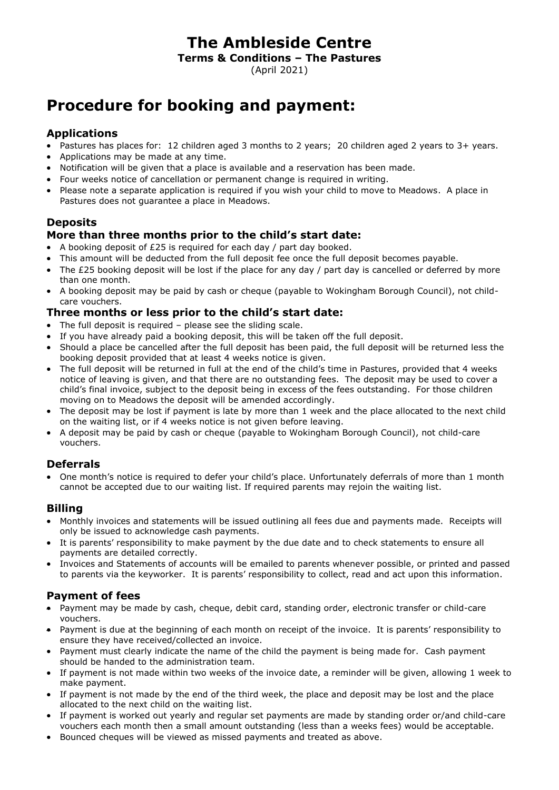# **The Ambleside Centre**

**Terms & Conditions – The Pastures**

(April 2021)

# **Procedure for booking and payment:**

#### **Applications**

- Pastures has places for: 12 children aged 3 months to 2 years; 20 children aged 2 years to 3+ years.
- Applications may be made at any time.
- Notification will be given that a place is available and a reservation has been made.
- Four weeks notice of cancellation or permanent change is required in writing.
- Please note a separate application is required if you wish your child to move to Meadows. A place in Pastures does not guarantee a place in Meadows.

# **Deposits**

#### **More than three months prior to the child's start date:**

- A booking deposit of £25 is required for each day / part day booked.
- This amount will be deducted from the full deposit fee once the full deposit becomes payable.
- The £25 booking deposit will be lost if the place for any day / part day is cancelled or deferred by more than one month.
- A booking deposit may be paid by cash or cheque (payable to Wokingham Borough Council), not childcare vouchers.

#### **Three months or less prior to the child's start date:**

- The full deposit is required please see the sliding scale.
- If you have already paid a booking deposit, this will be taken off the full deposit.
- Should a place be cancelled after the full deposit has been paid, the full deposit will be returned less the booking deposit provided that at least 4 weeks notice is given.
- The full deposit will be returned in full at the end of the child's time in Pastures, provided that 4 weeks notice of leaving is given, and that there are no outstanding fees. The deposit may be used to cover a child's final invoice, subject to the deposit being in excess of the fees outstanding. For those children moving on to Meadows the deposit will be amended accordingly.
- The deposit may be lost if payment is late by more than 1 week and the place allocated to the next child on the waiting list, or if 4 weeks notice is not given before leaving.
- A deposit may be paid by cash or cheque (payable to Wokingham Borough Council), not child-care vouchers.

#### **Deferrals**

 One month's notice is required to defer your child's place. Unfortunately deferrals of more than 1 month cannot be accepted due to our waiting list. If required parents may rejoin the waiting list.

### **Billing**

- Monthly invoices and statements will be issued outlining all fees due and payments made. Receipts will only be issued to acknowledge cash payments.
- It is parents' responsibility to make payment by the due date and to check statements to ensure all payments are detailed correctly.
- Invoices and Statements of accounts will be emailed to parents whenever possible, or printed and passed to parents via the keyworker. It is parents' responsibility to collect, read and act upon this information.

### **Payment of fees**

- Payment may be made by cash, cheque, debit card, standing order, electronic transfer or child-care vouchers.
- Payment is due at the beginning of each month on receipt of the invoice. It is parents' responsibility to ensure they have received/collected an invoice.
- Payment must clearly indicate the name of the child the payment is being made for. Cash payment should be handed to the administration team.
- If payment is not made within two weeks of the invoice date, a reminder will be given, allowing 1 week to make payment.
- If payment is not made by the end of the third week, the place and deposit may be lost and the place allocated to the next child on the waiting list.
- If payment is worked out yearly and regular set payments are made by standing order or/and child-care vouchers each month then a small amount outstanding (less than a weeks fees) would be acceptable.
- Bounced cheques will be viewed as missed payments and treated as above.